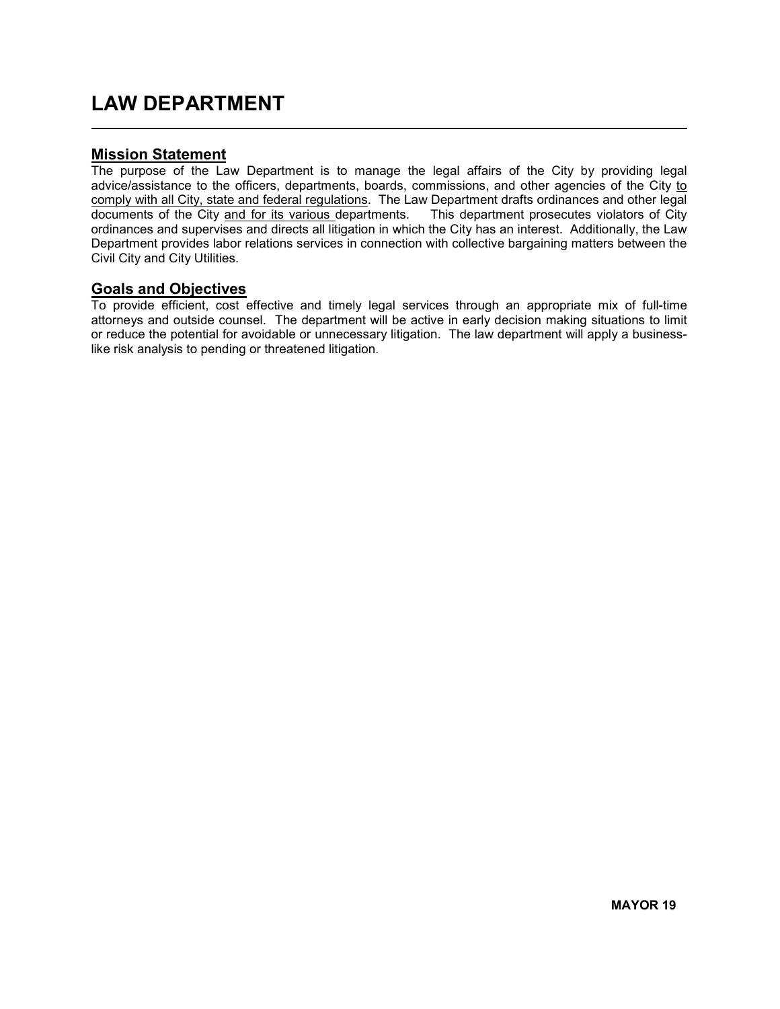## LAW DEPARTMENT  $\overline{a}$

### Mission Statement

The purpose of the Law Department is to manage the legal affairs of the City by providing legal advice/assistance to the officers, departments, boards, commissions, and other agencies of the City to comply with all City, state and federal regulations. The Law Department drafts ordinances and other legal documents of the City and for its various departments. This department prosecutes violators of City ordinances and supervises and directs all litigation in which the City has an interest. Additionally, the Law Department provides labor relations services in connection with collective bargaining matters between the Civil City and City Utilities.

### Goals and Objectives

To provide efficient, cost effective and timely legal services through an appropriate mix of full-time attorneys and outside counsel. The department will be active in early decision making situations to limit or reduce the potential for avoidable or unnecessary litigation. The law department will apply a businesslike risk analysis to pending or threatened litigation.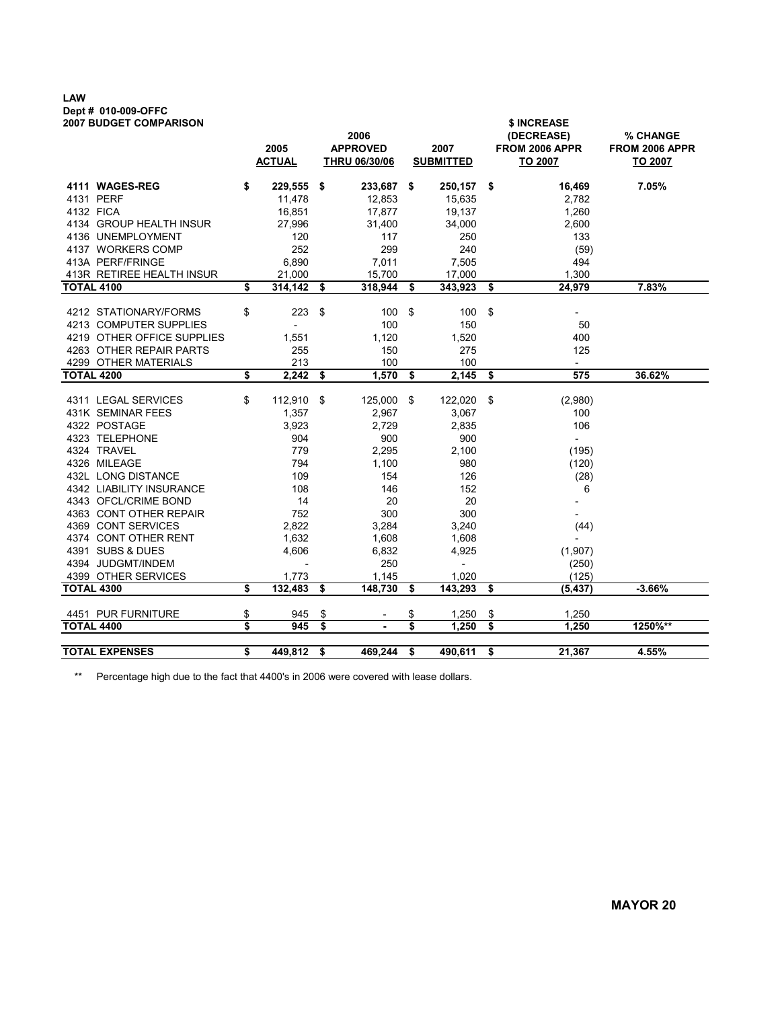# LAW Dept # 010-009-OFFC<br>2007 BUDGET COMPARISON

| <b>2007 BUDGET COMPARISON</b>                        |    | 2005<br><b>ACTUAL</b>    |     | 2006<br><b>APPROVED</b><br>THRU 06/30/06 |     | 2007<br><b>SUBMITTED</b> | \$ INCREASE<br>(DECREASE)<br><b>FROM 2006 APPR</b><br>TO 2007 | % CHANGE<br><b>FROM 2006 APPR</b><br>TO 2007 |  |  |
|------------------------------------------------------|----|--------------------------|-----|------------------------------------------|-----|--------------------------|---------------------------------------------------------------|----------------------------------------------|--|--|
| 4111 WAGES-REG                                       | \$ | 229,555                  | \$  | 233,687 \$                               |     | 250,157                  | \$<br>16,469                                                  | 7.05%                                        |  |  |
| 4131 PERF                                            |    | 11,478                   |     | 12,853                                   |     | 15,635                   | 2,782                                                         |                                              |  |  |
| 4132 FICA                                            |    | 16,851                   |     | 17,877                                   |     | 19,137                   | 1,260                                                         |                                              |  |  |
| 4134 GROUP HEALTH INSUR                              |    | 27,996                   |     | 31,400                                   |     | 34,000                   | 2,600                                                         |                                              |  |  |
| 4136 UNEMPLOYMENT                                    |    | 120                      |     | 117                                      |     | 250                      | 133                                                           |                                              |  |  |
| 4137 WORKERS COMP                                    |    | 252                      |     | 299                                      |     | 240                      | (59)                                                          |                                              |  |  |
| 413A PERF/FRINGE                                     |    | 6,890                    |     | 7,011                                    |     | 7,505                    | 494                                                           |                                              |  |  |
| 413R RETIREE HEALTH INSUR                            |    | 21,000                   |     | 15,700                                   |     | 17,000                   | 1,300                                                         |                                              |  |  |
| <b>TOTAL 4100</b>                                    | \$ | 314,142                  | \$  | 318,944                                  | \$  | 343,923                  | \$<br>24,979                                                  | 7.83%                                        |  |  |
|                                                      |    |                          |     |                                          |     |                          |                                                               |                                              |  |  |
| 4212 STATIONARY/FORMS                                | \$ | 223                      | -\$ | 100                                      | \$  | 100                      | \$                                                            |                                              |  |  |
| 4213 COMPUTER SUPPLIES<br>4219 OTHER OFFICE SUPPLIES |    | $\overline{\phantom{a}}$ |     | 100                                      |     | 150                      | 50<br>400                                                     |                                              |  |  |
| 4263 OTHER REPAIR PARTS                              |    | 1,551<br>255             |     | 1,120<br>150                             |     | 1,520<br>275             | 125                                                           |                                              |  |  |
| 4299 OTHER MATERIALS                                 |    | 213                      |     | 100                                      |     | 100                      | $\overline{\phantom{a}}$                                      |                                              |  |  |
| <b>TOTAL 4200</b>                                    | \$ | 2,242                    | \$  | 1,570                                    | \$  | 2,145                    | \$<br>575                                                     | 36.62%                                       |  |  |
|                                                      |    |                          |     |                                          |     |                          |                                                               |                                              |  |  |
| 4311 LEGAL SERVICES                                  | \$ | 112,910 \$               |     | 125,000                                  | -\$ | 122,020                  | \$<br>(2,980)                                                 |                                              |  |  |
| 431K SEMINAR FEES                                    |    | 1,357                    |     | 2,967                                    |     | 3,067                    | 100                                                           |                                              |  |  |
| 4322 POSTAGE                                         |    | 3,923                    |     | 2,729                                    |     | 2,835                    | 106                                                           |                                              |  |  |
| 4323 TELEPHONE                                       |    | 904                      |     | 900                                      |     | 900                      | $\overline{\phantom{a}}$                                      |                                              |  |  |
| 4324 TRAVEL                                          |    | 779                      |     | 2,295                                    |     | 2,100                    | (195)                                                         |                                              |  |  |
| 4326 MILEAGE                                         |    | 794                      |     | 1,100                                    |     | 980                      | (120)                                                         |                                              |  |  |
| 432L LONG DISTANCE                                   |    | 109                      |     | 154                                      |     | 126                      | (28)                                                          |                                              |  |  |
| 4342 LIABILITY INSURANCE                             |    | 108                      |     | 146                                      |     | 152                      | 6                                                             |                                              |  |  |
| 4343 OFCL/CRIME BOND                                 |    | 14                       |     | 20                                       |     | 20                       |                                                               |                                              |  |  |
| 4363 CONT OTHER REPAIR                               |    | 752                      |     | 300                                      |     | 300                      |                                                               |                                              |  |  |
| 4369 CONT SERVICES                                   |    | 2,822                    |     | 3,284                                    |     | 3,240                    | (44)                                                          |                                              |  |  |
| 4374 CONT OTHER RENT                                 |    | 1,632                    |     | 1,608                                    |     | 1,608                    |                                                               |                                              |  |  |
| 4391 SUBS & DUES                                     |    | 4,606                    |     | 6,832                                    |     | 4,925                    | (1,907)                                                       |                                              |  |  |
| 4394 JUDGMT/INDEM                                    |    |                          |     | 250                                      |     | $\overline{\phantom{0}}$ | (250)                                                         |                                              |  |  |
| 4399 OTHER SERVICES                                  |    | 1,773                    |     | 1,145                                    |     | 1,020                    | (125)                                                         |                                              |  |  |
| <b>TOTAL 4300</b>                                    | \$ | 132,483                  | \$  | 148,730                                  | \$  | 143,293                  | \$<br>(5, 437)                                                | $-3.66%$                                     |  |  |
| 4451 PUR FURNITURE                                   | \$ | 945                      | \$  |                                          | \$  | 1,250                    | \$<br>1,250                                                   |                                              |  |  |
| <b>TOTAL 4400</b>                                    | \$ | 945                      | \$  |                                          | \$  | 1,250                    | \$<br>1,250                                                   | 1250%**                                      |  |  |
|                                                      |    |                          |     |                                          |     |                          |                                                               |                                              |  |  |
| <b>TOTAL EXPENSES</b>                                | \$ | 449,812 \$               |     | 469,244                                  | \$  | 490,611                  | \$<br>21,367                                                  | 4.55%                                        |  |  |

\*\* Percentage high due to the fact that 4400's in 2006 were covered with lease dollars.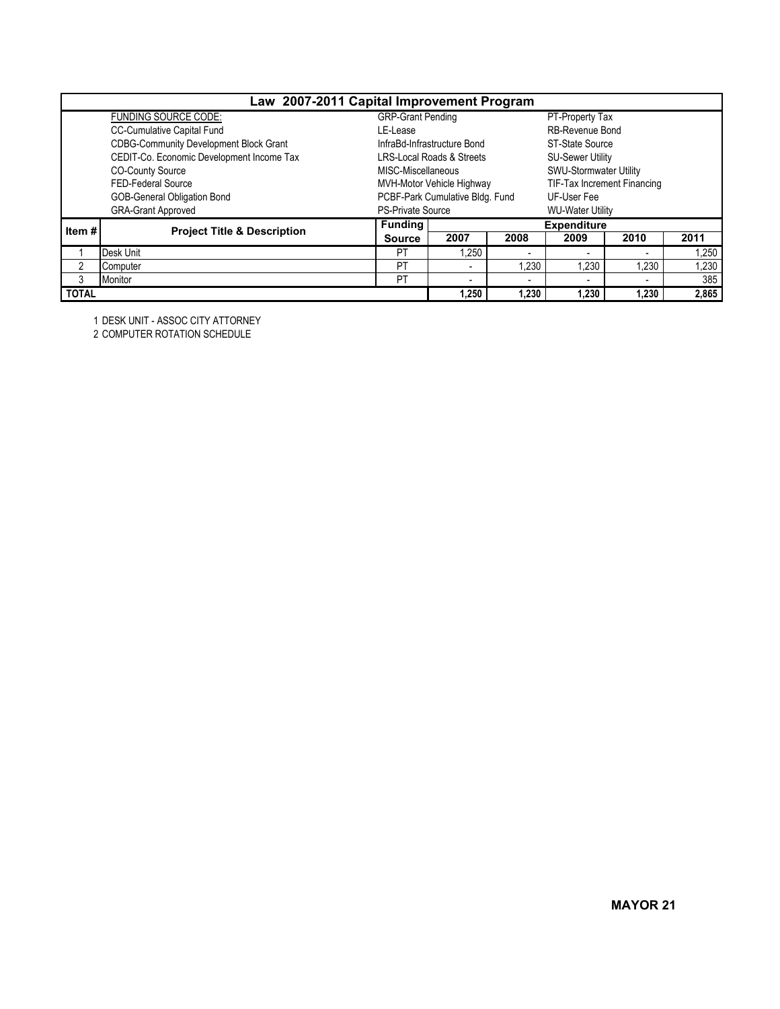|              |                                               | Law 2007-2011 Capital Improvement Program |                                      |       |                             |       |       |  |  |  |
|--------------|-----------------------------------------------|-------------------------------------------|--------------------------------------|-------|-----------------------------|-------|-------|--|--|--|
|              | <b>FUNDING SOURCE CODE:</b>                   | <b>GRP-Grant Pending</b>                  |                                      |       | PT-Property Tax             |       |       |  |  |  |
|              | CC-Cumulative Capital Fund                    | LE-Lease                                  |                                      |       | <b>RB-Revenue Bond</b>      |       |       |  |  |  |
|              | <b>CDBG-Community Development Block Grant</b> |                                           | InfraBd-Infrastructure Bond          |       | ST-State Source             |       |       |  |  |  |
|              | CEDIT-Co. Economic Development Income Tax     |                                           | <b>LRS-Local Roads &amp; Streets</b> |       | <b>SU-Sewer Utility</b>     |       |       |  |  |  |
|              | <b>CO-County Source</b>                       | MISC-Miscellaneous                        |                                      |       | SWU-Stormwater Utility      |       |       |  |  |  |
|              | FED-Federal Source                            |                                           | MVH-Motor Vehicle Highway            |       | TIF-Tax Increment Financing |       |       |  |  |  |
|              | <b>GOB-General Obligation Bond</b>            |                                           | PCBF-Park Cumulative Bldg. Fund      |       | UF-User Fee                 |       |       |  |  |  |
|              | <b>GRA-Grant Approved</b>                     | <b>PS-Private Source</b>                  |                                      |       | <b>WU-Water Utility</b>     |       |       |  |  |  |
| Item #       | <b>Project Title &amp; Description</b>        | <b>Funding</b>                            |                                      |       | <b>Expenditure</b>          |       |       |  |  |  |
|              |                                               | <b>Source</b>                             | 2007                                 | 2008  | 2009                        | 2010  | 2011  |  |  |  |
|              | Desk Unit                                     | PT                                        | 1.250                                |       |                             | -     | 1,250 |  |  |  |
|              | Computer                                      | PT                                        | $\overline{\phantom{a}}$             | 1,230 | 1.230                       | 1.230 | 1,230 |  |  |  |
| 3            | Monitor                                       | PT                                        | $\overline{\phantom{0}}$             |       |                             |       | 385   |  |  |  |
| <b>TOTAL</b> |                                               |                                           | 1.250                                | 1,230 | 1,230                       | 1,230 | 2,865 |  |  |  |

1 DESK UNIT - ASSOC CITY ATTORNEY

2 COMPUTER ROTATION SCHEDULE